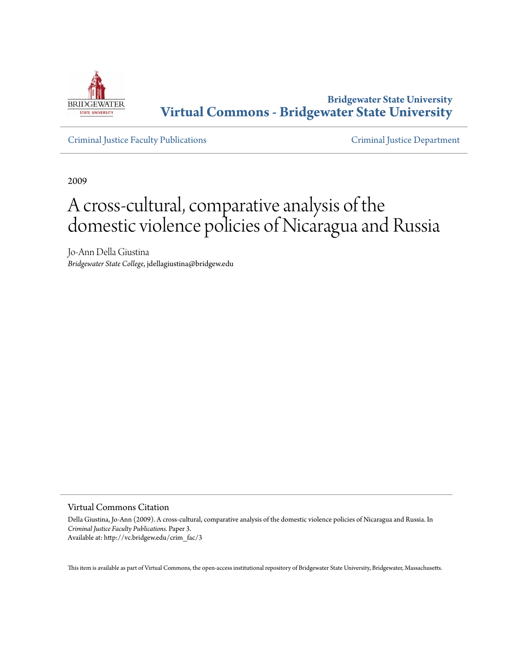

**Bridgewater State University [Virtual Commons - Bridgewater State University](http://vc.bridgew.edu)**

[Criminal Justice Faculty Publications](http://vc.bridgew.edu/crim_fac) [Criminal Justice Department](http://vc.bridgew.edu/crim)

2009

# A cross-cultural, comparative analysis of the domestic violence policies of Nicaragua and Russia

Jo-Ann Della Giustina *Bridgewater State College*, jdellagiustina@bridgew.edu

Virtual Commons Citation

Della Giustina, Jo-Ann (2009). A cross-cultural, comparative analysis of the domestic violence policies of Nicaragua and Russia. In *Criminal Justice Faculty Publications.* Paper 3. Available at: http://vc.bridgew.edu/crim\_fac/3

This item is available as part of Virtual Commons, the open-access institutional repository of Bridgewater State University, Bridgewater, Massachusetts.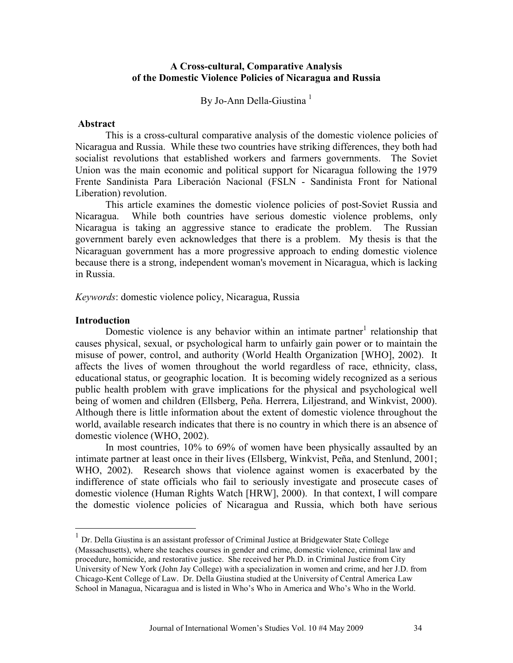## **A Cross-cultural, Comparative Analysis of the Domestic Violence Policies of Nicaragua and Russia**

By Jo-Ann Della-Giustina<sup>1</sup>

#### **Abstract**

This is a cross-cultural comparative analysis of the domestic violence policies of Nicaragua and Russia. While these two countries have striking differences, they both had socialist revolutions that established workers and farmers governments. The Soviet Union was the main economic and political support for Nicaragua following the 1979 Frente Sandinista Para Liberación Nacional (FSLN - Sandinista Front for National Liberation) revolution.

This article examines the domestic violence policies of post-Soviet Russia and Nicaragua. While both countries have serious domestic violence problems, only Nicaragua is taking an aggressive stance to eradicate the problem. The Russian government barely even acknowledges that there is a problem. My thesis is that the Nicaraguan government has a more progressive approach to ending domestic violence because there is a strong, independent woman's movement in Nicaragua, which is lacking in Russia.

*Keywords*: domestic violence policy, Nicaragua, Russia

#### **Introduction**

<u>.</u>

Domestic violence is any behavior within an intimate partner<sup>1</sup> relationship that causes physical, sexual, or psychological harm to unfairly gain power or to maintain the misuse of power, control, and authority (World Health Organization [WHO], 2002). It affects the lives of women throughout the world regardless of race, ethnicity, class, educational status, or geographic location. It is becoming widely recognized as a serious public health problem with grave implications for the physical and psychological well being of women and children (Ellsberg, Peña. Herrera, Liljestrand, and Winkvist, 2000). Although there is little information about the extent of domestic violence throughout the world, available research indicates that there is no country in which there is an absence of domestic violence (WHO, 2002).

In most countries, 10% to 69% of women have been physically assaulted by an intimate partner at least once in their lives (Ellsberg, Winkvist, Peña, and Stenlund, 2001; WHO, 2002). Research shows that violence against women is exacerbated by the indifference of state officials who fail to seriously investigate and prosecute cases of domestic violence (Human Rights Watch [HRW], 2000). In that context, I will compare the domestic violence policies of Nicaragua and Russia, which both have serious

<sup>&</sup>lt;sup>1</sup> Dr. Della Giustina is an assistant professor of Criminal Justice at Bridgewater State College (Massachusetts), where she teaches courses in gender and crime, domestic violence, criminal law and procedure, homicide, and restorative justice. She received her Ph.D. in Criminal Justice from City University of New York (John Jay College) with a specialization in women and crime, and her J.D. from Chicago-Kent College of Law. Dr. Della Giustina studied at the University of Central America Law School in Managua, Nicaragua and is listed in Who's Who in America and Who's Who in the World.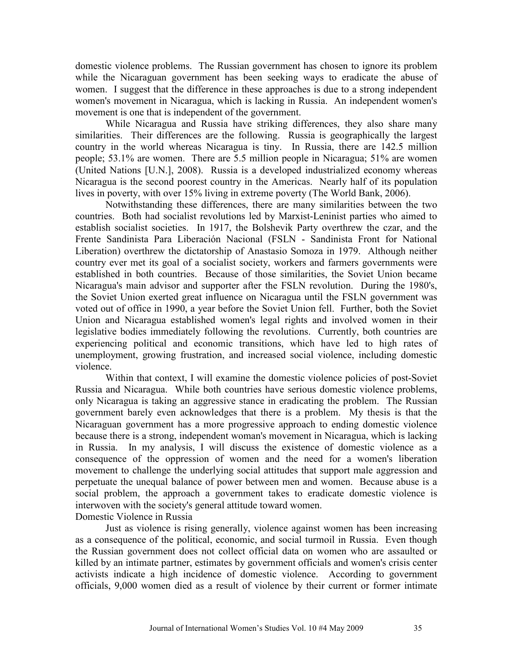domestic violence problems. The Russian government has chosen to ignore its problem while the Nicaraguan government has been seeking ways to eradicate the abuse of women. I suggest that the difference in these approaches is due to a strong independent women's movement in Nicaragua, which is lacking in Russia. An independent women's movement is one that is independent of the government.

While Nicaragua and Russia have striking differences, they also share many similarities. Their differences are the following. Russia is geographically the largest country in the world whereas Nicaragua is tiny. In Russia, there are 142.5 million people; 53.1% are women. There are 5.5 million people in Nicaragua; 51% are women (United Nations [U.N.], 2008). Russia is a developed industrialized economy whereas Nicaragua is the second poorest country in the Americas. Nearly half of its population lives in poverty, with over 15% living in extreme poverty (The World Bank, 2006).

Notwithstanding these differences, there are many similarities between the two countries. Both had socialist revolutions led by Marxist-Leninist parties who aimed to establish socialist societies. In 1917, the Bolshevik Party overthrew the czar, and the Frente Sandinista Para Liberación Nacional (FSLN - Sandinista Front for National Liberation) overthrew the dictatorship of Anastasio Somoza in 1979. Although neither country ever met its goal of a socialist society, workers and farmers governments were established in both countries. Because of those similarities, the Soviet Union became Nicaragua's main advisor and supporter after the FSLN revolution. During the 1980's, the Soviet Union exerted great influence on Nicaragua until the FSLN government was voted out of office in 1990, a year before the Soviet Union fell. Further, both the Soviet Union and Nicaragua established women's legal rights and involved women in their legislative bodies immediately following the revolutions. Currently, both countries are experiencing political and economic transitions, which have led to high rates of unemployment, growing frustration, and increased social violence, including domestic violence.

 Within that context, I will examine the domestic violence policies of post-Soviet Russia and Nicaragua. While both countries have serious domestic violence problems, only Nicaragua is taking an aggressive stance in eradicating the problem. The Russian government barely even acknowledges that there is a problem. My thesis is that the Nicaraguan government has a more progressive approach to ending domestic violence because there is a strong, independent woman's movement in Nicaragua, which is lacking in Russia. In my analysis, I will discuss the existence of domestic violence as a consequence of the oppression of women and the need for a women's liberation movement to challenge the underlying social attitudes that support male aggression and perpetuate the unequal balance of power between men and women. Because abuse is a social problem, the approach a government takes to eradicate domestic violence is interwoven with the society's general attitude toward women. Domestic Violence in Russia

Just as violence is rising generally, violence against women has been increasing as a consequence of the political, economic, and social turmoil in Russia. Even though the Russian government does not collect official data on women who are assaulted or killed by an intimate partner, estimates by government officials and women's crisis center activists indicate a high incidence of domestic violence. According to government officials, 9,000 women died as a result of violence by their current or former intimate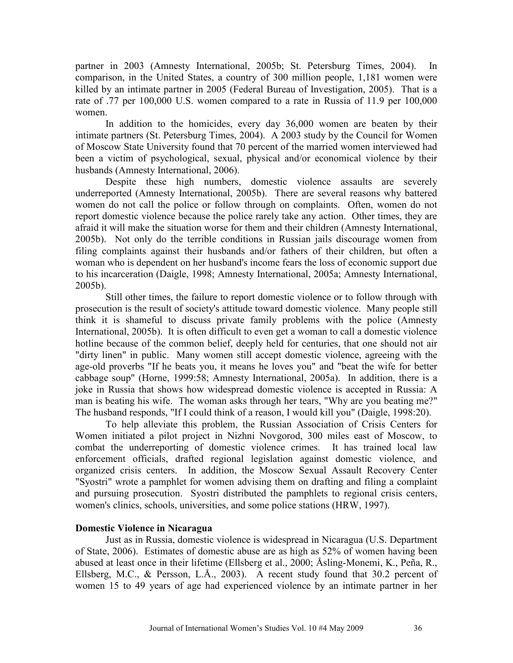partner in 2003 (Amnesty International, 2005b; St. Petersburg Times, 2004). In comparison, in the United States, a country of 300 million people, 1,181 women were killed by an intimate partner in 2005 (Federal Bureau of Investigation, 2005). That is a rate of .77 per 100,000 U.S. women compared to a rate in Russia of 11.9 per 100,000 women.

In addition to the homicides, every day 36,000 women are beaten by their intimate partners (St. Petersburg Times, 2004). A 2003 study by the Council for Women of Moscow State University found that 70 percent of the married women interviewed had been a victim of psychological, sexual, physical and/or economical violence by their husbands (Amnesty International, 2006).

Despite these high numbers, domestic violence assaults are severely underreported (Amnesty International, 2005b). There are several reasons why battered women do not call the police or follow through on complaints. Often, women do not report domestic violence because the police rarely take any action. Other times, they are afraid it will make the situation worse for them and their children (Amnesty International, 2005b). Not only do the terrible conditions in Russian jails discourage women from filing complaints against their husbands and/or fathers of their children, but often a woman who is dependent on her husband's income fears the loss of economic support due to his incarceration (Daigle, 1998; Amnesty International, 2005a; Amnesty International, 2005b).

Still other times, the failure to report domestic violence or to follow through with prosecution is the result of society's attitude toward domestic violence. Many people still think it is shameful to discuss private family problems with the police (Amnesty International, 2005b). It is often difficult to even get a woman to call a domestic violence hotline because of the common belief, deeply held for centuries, that one should not air "dirty linen" in public. Many women still accept domestic violence, agreeing with the age-old proverbs "If he beats you, it means he loves you" and "beat the wife for better cabbage soup" (Horne, 1999:58; Amnesty International, 2005a). In addition, there is a joke in Russia that shows how widespread domestic violence is accepted in Russia: A man is beating his wife. The woman asks through her tears, "Why are you beating me?" The husband responds, "If I could think of a reason, I would kill you" (Daigle, 1998:20).

To help alleviate this problem, the Russian Association of Crisis Centers for Women initiated a pilot project in Nizhni Novgorod, 300 miles east of Moscow, to combat the underreporting of domestic violence crimes. It has trained local law enforcement officials, drafted regional legislation against domestic violence, and organized crisis centers. In addition, the Moscow Sexual Assault Recovery Center "Syostri" wrote a pamphlet for women advising them on drafting and filing a complaint and pursuing prosecution. Syostri distributed the pamphlets to regional crisis centers, women's clinics, schools, universities, and some police stations (HRW, 1997).

# **Domestic Violence in Nicaragua**

Just as in Russia, domestic violence is widespread in Nicaragua (U.S. Department of State, 2006). Estimates of domestic abuse are as high as 52% of women having been abused at least once in their lifetime (Ellsberg et al., 2000; Åsling-Monemi, K., Peña, R., Ellsberg, M.C., & Persson, L.Å., 2003). A recent study found that 30.2 percent of women 15 to 49 years of age had experienced violence by an intimate partner in her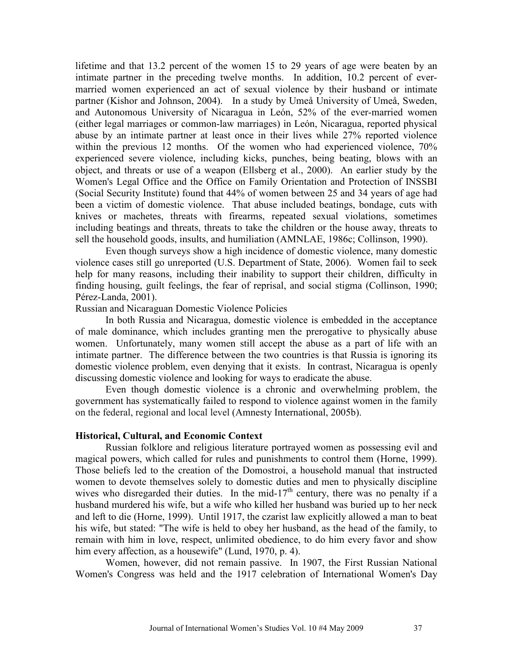lifetime and that 13.2 percent of the women 15 to 29 years of age were beaten by an intimate partner in the preceding twelve months. In addition, 10.2 percent of evermarried women experienced an act of sexual violence by their husband or intimate partner (Kishor and Johnson, 2004). In a study by Umeå University of Umeå, Sweden, and Autonomous University of Nicaragua in León, 52% of the ever-married women (either legal marriages or common-law marriages) in León, Nicaragua, reported physical abuse by an intimate partner at least once in their lives while 27% reported violence within the previous 12 months. Of the women who had experienced violence, 70% experienced severe violence, including kicks, punches, being beating, blows with an object, and threats or use of a weapon (Ellsberg et al., 2000). An earlier study by the Women's Legal Office and the Office on Family Orientation and Protection of INSSBI (Social Security Institute) found that 44% of women between 25 and 34 years of age had been a victim of domestic violence. That abuse included beatings, bondage, cuts with knives or machetes, threats with firearms, repeated sexual violations, sometimes including beatings and threats, threats to take the children or the house away, threats to sell the household goods, insults, and humiliation (AMNLAE, 1986c; Collinson, 1990).

Even though surveys show a high incidence of domestic violence, many domestic violence cases still go unreported (U.S. Department of State, 2006). Women fail to seek help for many reasons, including their inability to support their children, difficulty in finding housing, guilt feelings, the fear of reprisal, and social stigma (Collinson, 1990; Pérez-Landa, 2001).

Russian and Nicaraguan Domestic Violence Policies

In both Russia and Nicaragua, domestic violence is embedded in the acceptance of male dominance, which includes granting men the prerogative to physically abuse women. Unfortunately, many women still accept the abuse as a part of life with an intimate partner. The difference between the two countries is that Russia is ignoring its domestic violence problem, even denying that it exists. In contrast, Nicaragua is openly discussing domestic violence and looking for ways to eradicate the abuse.

Even though domestic violence is a chronic and overwhelming problem, the government has systematically failed to respond to violence against women in the family on the federal, regional and local level (Amnesty International, 2005b).

## **Historical, Cultural, and Economic Context**

Russian folklore and religious literature portrayed women as possessing evil and magical powers, which called for rules and punishments to control them (Horne, 1999). Those beliefs led to the creation of the Domostroi, a household manual that instructed women to devote themselves solely to domestic duties and men to physically discipline wives who disregarded their duties. In the mid-17<sup>th</sup> century, there was no penalty if a husband murdered his wife, but a wife who killed her husband was buried up to her neck and left to die (Horne, 1999). Until 1917, the czarist law explicitly allowed a man to beat his wife, but stated: "The wife is held to obey her husband, as the head of the family, to remain with him in love, respect, unlimited obedience, to do him every favor and show him every affection, as a housewife" (Lund, 1970, p. 4).

Women, however, did not remain passive. In 1907, the First Russian National Women's Congress was held and the 1917 celebration of International Women's Day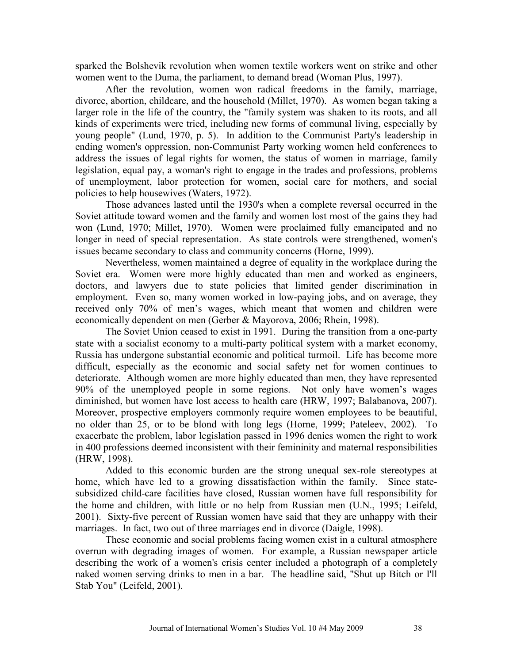sparked the Bolshevik revolution when women textile workers went on strike and other women went to the Duma, the parliament, to demand bread (Woman Plus, 1997).

After the revolution, women won radical freedoms in the family, marriage, divorce, abortion, childcare, and the household (Millet, 1970). As women began taking a larger role in the life of the country, the "family system was shaken to its roots, and all kinds of experiments were tried, including new forms of communal living, especially by young people" (Lund, 1970, p. 5). In addition to the Communist Party's leadership in ending women's oppression, non-Communist Party working women held conferences to address the issues of legal rights for women, the status of women in marriage, family legislation, equal pay, a woman's right to engage in the trades and professions, problems of unemployment, labor protection for women, social care for mothers, and social policies to help housewives (Waters, 1972).

Those advances lasted until the 1930's when a complete reversal occurred in the Soviet attitude toward women and the family and women lost most of the gains they had won (Lund, 1970; Millet, 1970). Women were proclaimed fully emancipated and no longer in need of special representation. As state controls were strengthened, women's issues became secondary to class and community concerns (Horne, 1999).

Nevertheless, women maintained a degree of equality in the workplace during the Soviet era. Women were more highly educated than men and worked as engineers, doctors, and lawyers due to state policies that limited gender discrimination in employment. Even so, many women worked in low-paying jobs, and on average, they received only 70% of men's wages, which meant that women and children were economically dependent on men (Gerber & Mayorova, 2006; Rhein, 1998).

The Soviet Union ceased to exist in 1991. During the transition from a one-party state with a socialist economy to a multi-party political system with a market economy, Russia has undergone substantial economic and political turmoil. Life has become more difficult, especially as the economic and social safety net for women continues to deteriorate. Although women are more highly educated than men, they have represented 90% of the unemployed people in some regions. Not only have women's wages diminished, but women have lost access to health care (HRW, 1997; Balabanova, 2007). Moreover, prospective employers commonly require women employees to be beautiful, no older than 25, or to be blond with long legs (Horne, 1999; Pateleev, 2002). To exacerbate the problem, labor legislation passed in 1996 denies women the right to work in 400 professions deemed inconsistent with their femininity and maternal responsibilities (HRW, 1998).

Added to this economic burden are the strong unequal sex-role stereotypes at home, which have led to a growing dissatisfaction within the family. Since statesubsidized child-care facilities have closed, Russian women have full responsibility for the home and children, with little or no help from Russian men (U.N., 1995; Leifeld, 2001). Sixty-five percent of Russian women have said that they are unhappy with their marriages. In fact, two out of three marriages end in divorce (Daigle, 1998).

These economic and social problems facing women exist in a cultural atmosphere overrun with degrading images of women. For example, a Russian newspaper article describing the work of a women's crisis center included a photograph of a completely naked women serving drinks to men in a bar. The headline said, "Shut up Bitch or I'll Stab You" (Leifeld, 2001).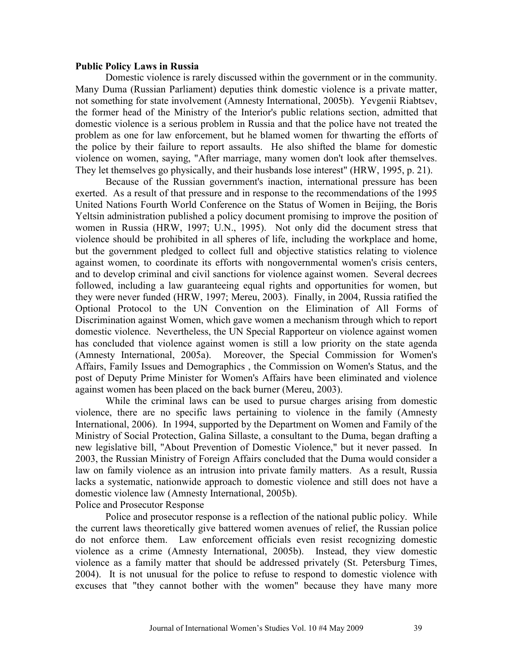### **Public Policy Laws in Russia**

Domestic violence is rarely discussed within the government or in the community. Many Duma (Russian Parliament) deputies think domestic violence is a private matter, not something for state involvement (Amnesty International, 2005b). Yevgenii Riabtsev, the former head of the Ministry of the Interior's public relations section, admitted that domestic violence is a serious problem in Russia and that the police have not treated the problem as one for law enforcement, but he blamed women for thwarting the efforts of the police by their failure to report assaults. He also shifted the blame for domestic violence on women, saying, "After marriage, many women don't look after themselves. They let themselves go physically, and their husbands lose interest" (HRW, 1995, p. 21).

Because of the Russian government's inaction, international pressure has been exerted. As a result of that pressure and in response to the recommendations of the 1995 United Nations Fourth World Conference on the Status of Women in Beijing, the Boris Yeltsin administration published a policy document promising to improve the position of women in Russia (HRW, 1997; U.N., 1995). Not only did the document stress that violence should be prohibited in all spheres of life, including the workplace and home, but the government pledged to collect full and objective statistics relating to violence against women, to coordinate its efforts with nongovernmental women's crisis centers, and to develop criminal and civil sanctions for violence against women. Several decrees followed, including a law guaranteeing equal rights and opportunities for women, but they were never funded (HRW, 1997; Mereu, 2003). Finally, in 2004, Russia ratified the Optional Protocol to the UN Convention on the Elimination of All Forms of Discrimination against Women, which gave women a mechanism through which to report domestic violence. Nevertheless, the UN Special Rapporteur on violence against women has concluded that violence against women is still a low priority on the state agenda (Amnesty International, 2005a). Moreover, the Special Commission for Women's Affairs, Family Issues and Demographics , the Commission on Women's Status, and the post of Deputy Prime Minister for Women's Affairs have been eliminated and violence against women has been placed on the back burner (Mereu, 2003).

While the criminal laws can be used to pursue charges arising from domestic violence, there are no specific laws pertaining to violence in the family (Amnesty International, 2006). In 1994, supported by the Department on Women and Family of the Ministry of Social Protection, Galina Sillaste, a consultant to the Duma, began drafting a new legislative bill, "About Prevention of Domestic Violence," but it never passed. In 2003, the Russian Ministry of Foreign Affairs concluded that the Duma would consider a law on family violence as an intrusion into private family matters. As a result, Russia lacks a systematic, nationwide approach to domestic violence and still does not have a domestic violence law (Amnesty International, 2005b). Police and Prosecutor Response

Police and prosecutor response is a reflection of the national public policy. While the current laws theoretically give battered women avenues of relief, the Russian police do not enforce them. Law enforcement officials even resist recognizing domestic violence as a crime (Amnesty International, 2005b). Instead, they view domestic violence as a family matter that should be addressed privately (St. Petersburg Times, 2004). It is not unusual for the police to refuse to respond to domestic violence with excuses that "they cannot bother with the women" because they have many more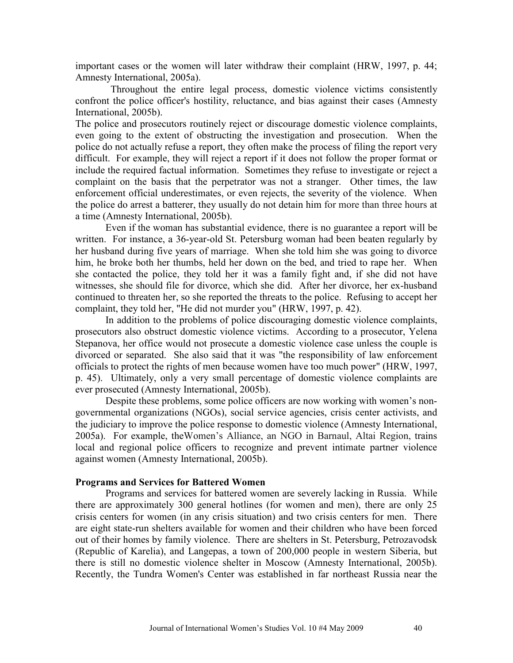important cases or the women will later withdraw their complaint (HRW, 1997, p. 44; Amnesty International, 2005a).

 Throughout the entire legal process, domestic violence victims consistently confront the police officer's hostility, reluctance, and bias against their cases (Amnesty International, 2005b).

The police and prosecutors routinely reject or discourage domestic violence complaints, even going to the extent of obstructing the investigation and prosecution. When the police do not actually refuse a report, they often make the process of filing the report very difficult. For example, they will reject a report if it does not follow the proper format or include the required factual information. Sometimes they refuse to investigate or reject a complaint on the basis that the perpetrator was not a stranger. Other times, the law enforcement official underestimates, or even rejects, the severity of the violence. When the police do arrest a batterer, they usually do not detain him for more than three hours at a time (Amnesty International, 2005b).

Even if the woman has substantial evidence, there is no guarantee a report will be written. For instance, a 36-year-old St. Petersburg woman had been beaten regularly by her husband during five years of marriage. When she told him she was going to divorce him, he broke both her thumbs, held her down on the bed, and tried to rape her. When she contacted the police, they told her it was a family fight and, if she did not have witnesses, she should file for divorce, which she did. After her divorce, her ex-husband continued to threaten her, so she reported the threats to the police. Refusing to accept her complaint, they told her, "He did not murder you" (HRW, 1997, p. 42).

In addition to the problems of police discouraging domestic violence complaints, prosecutors also obstruct domestic violence victims. According to a prosecutor, Yelena Stepanova, her office would not prosecute a domestic violence case unless the couple is divorced or separated. She also said that it was "the responsibility of law enforcement officials to protect the rights of men because women have too much power" (HRW, 1997, p. 45). Ultimately, only a very small percentage of domestic violence complaints are ever prosecuted (Amnesty International, 2005b).

Despite these problems, some police officers are now working with women's nongovernmental organizations (NGOs), social service agencies, crisis center activists, and the judiciary to improve the police response to domestic violence (Amnesty International, 2005a). For example, theWomen's Alliance, an NGO in Barnaul, Altai Region, trains local and regional police officers to recognize and prevent intimate partner violence against women (Amnesty International, 2005b).

#### **Programs and Services for Battered Women**

Programs and services for battered women are severely lacking in Russia. While there are approximately 300 general hotlines (for women and men), there are only 25 crisis centers for women (in any crisis situation) and two crisis centers for men. There are eight state-run shelters available for women and their children who have been forced out of their homes by family violence. There are shelters in St. Petersburg, Petrozavodsk (Republic of Karelia), and Langepas, a town of 200,000 people in western Siberia, but there is still no domestic violence shelter in Moscow (Amnesty International, 2005b). Recently, the Tundra Women's Center was established in far northeast Russia near the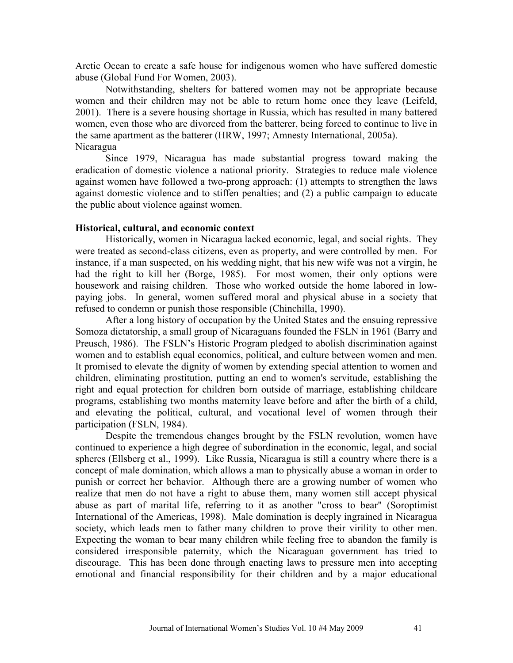Arctic Ocean to create a safe house for indigenous women who have suffered domestic abuse (Global Fund For Women, 2003).

Notwithstanding, shelters for battered women may not be appropriate because women and their children may not be able to return home once they leave (Leifeld, 2001). There is a severe housing shortage in Russia, which has resulted in many battered women, even those who are divorced from the batterer, being forced to continue to live in the same apartment as the batterer (HRW, 1997; Amnesty International, 2005a). Nicaragua

Since 1979, Nicaragua has made substantial progress toward making the eradication of domestic violence a national priority. Strategies to reduce male violence against women have followed a two-prong approach: (1) attempts to strengthen the laws against domestic violence and to stiffen penalties; and (2) a public campaign to educate the public about violence against women.

## **Historical, cultural, and economic context**

Historically, women in Nicaragua lacked economic, legal, and social rights. They were treated as second-class citizens, even as property, and were controlled by men. For instance, if a man suspected, on his wedding night, that his new wife was not a virgin, he had the right to kill her (Borge, 1985). For most women, their only options were housework and raising children. Those who worked outside the home labored in lowpaying jobs. In general, women suffered moral and physical abuse in a society that refused to condemn or punish those responsible (Chinchilla, 1990).

After a long history of occupation by the United States and the ensuing repressive Somoza dictatorship, a small group of Nicaraguans founded the FSLN in 1961 (Barry and Preusch, 1986). The FSLN's Historic Program pledged to abolish discrimination against women and to establish equal economics, political, and culture between women and men. It promised to elevate the dignity of women by extending special attention to women and children, eliminating prostitution, putting an end to women's servitude, establishing the right and equal protection for children born outside of marriage, establishing childcare programs, establishing two months maternity leave before and after the birth of a child, and elevating the political, cultural, and vocational level of women through their participation (FSLN, 1984).

Despite the tremendous changes brought by the FSLN revolution, women have continued to experience a high degree of subordination in the economic, legal, and social spheres (Ellsberg et al., 1999). Like Russia, Nicaragua is still a country where there is a concept of male domination, which allows a man to physically abuse a woman in order to punish or correct her behavior. Although there are a growing number of women who realize that men do not have a right to abuse them, many women still accept physical abuse as part of marital life, referring to it as another "cross to bear" (Soroptimist International of the Americas, 1998). Male domination is deeply ingrained in Nicaragua society, which leads men to father many children to prove their virility to other men. Expecting the woman to bear many children while feeling free to abandon the family is considered irresponsible paternity, which the Nicaraguan government has tried to discourage. This has been done through enacting laws to pressure men into accepting emotional and financial responsibility for their children and by a major educational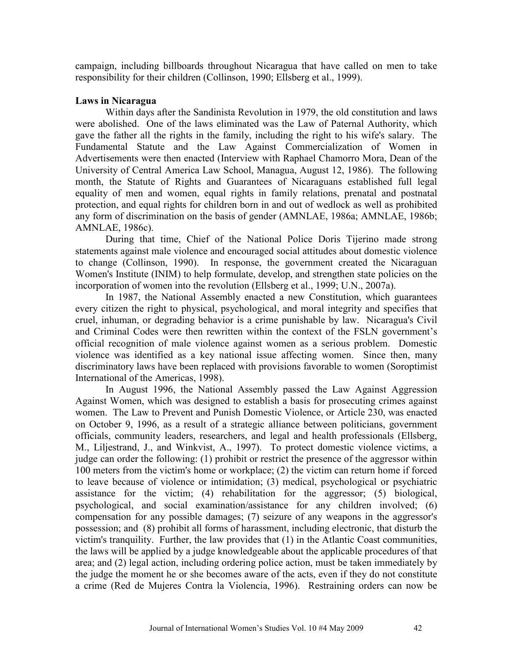campaign, including billboards throughout Nicaragua that have called on men to take responsibility for their children (Collinson, 1990; Ellsberg et al., 1999).

# **Laws in Nicaragua**

 Within days after the Sandinista Revolution in 1979, the old constitution and laws were abolished. One of the laws eliminated was the Law of Paternal Authority, which gave the father all the rights in the family, including the right to his wife's salary. The Fundamental Statute and the Law Against Commercialization of Women in Advertisements were then enacted (Interview with Raphael Chamorro Mora, Dean of the University of Central America Law School, Managua, August 12, 1986). The following month, the Statute of Rights and Guarantees of Nicaraguans established full legal equality of men and women, equal rights in family relations, prenatal and postnatal protection, and equal rights for children born in and out of wedlock as well as prohibited any form of discrimination on the basis of gender (AMNLAE, 1986a; AMNLAE, 1986b; AMNLAE, 1986c).

During that time, Chief of the National Police Doris Tijerino made strong statements against male violence and encouraged social attitudes about domestic violence to change (Collinson, 1990). In response, the government created the Nicaraguan Women's Institute (INIM) to help formulate, develop, and strengthen state policies on the incorporation of women into the revolution (Ellsberg et al., 1999; U.N., 2007a).

In 1987, the National Assembly enacted a new Constitution, which guarantees every citizen the right to physical, psychological, and moral integrity and specifies that cruel, inhuman, or degrading behavior is a crime punishable by law. Nicaragua's Civil and Criminal Codes were then rewritten within the context of the FSLN government's official recognition of male violence against women as a serious problem. Domestic violence was identified as a key national issue affecting women. Since then, many discriminatory laws have been replaced with provisions favorable to women (Soroptimist International of the Americas, 1998).

 In August 1996, the National Assembly passed the Law Against Aggression Against Women, which was designed to establish a basis for prosecuting crimes against women. The Law to Prevent and Punish Domestic Violence, or Article 230, was enacted on October 9, 1996, as a result of a strategic alliance between politicians, government officials, community leaders, researchers, and legal and health professionals (Ellsberg, M., Liljestrand, J., and Winkvist, A., 1997). To protect domestic violence victims, a judge can order the following: (1) prohibit or restrict the presence of the aggressor within 100 meters from the victim's home or workplace; (2) the victim can return home if forced to leave because of violence or intimidation; (3) medical, psychological or psychiatric assistance for the victim; (4) rehabilitation for the aggressor; (5) biological, psychological, and social examination/assistance for any children involved; (6) compensation for any possible damages; (7) seizure of any weapons in the aggressor's possession; and (8) prohibit all forms of harassment, including electronic, that disturb the victim's tranquility. Further, the law provides that (1) in the Atlantic Coast communities, the laws will be applied by a judge knowledgeable about the applicable procedures of that area; and (2) legal action, including ordering police action, must be taken immediately by the judge the moment he or she becomes aware of the acts, even if they do not constitute a crime (Red de Mujeres Contra la Violencia, 1996). Restraining orders can now be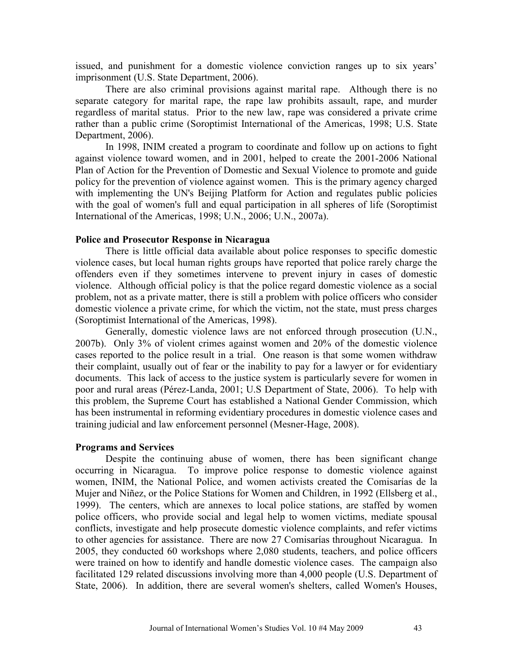issued, and punishment for a domestic violence conviction ranges up to six years' imprisonment (U.S. State Department, 2006).

There are also criminal provisions against marital rape. Although there is no separate category for marital rape, the rape law prohibits assault, rape, and murder regardless of marital status. Prior to the new law, rape was considered a private crime rather than a public crime (Soroptimist International of the Americas, 1998; U.S. State Department, 2006).

In 1998, INIM created a program to coordinate and follow up on actions to fight against violence toward women, and in 2001, helped to create the 2001-2006 National Plan of Action for the Prevention of Domestic and Sexual Violence to promote and guide policy for the prevention of violence against women. This is the primary agency charged with implementing the UN's Beijing Platform for Action and regulates public policies with the goal of women's full and equal participation in all spheres of life (Soroptimist International of the Americas, 1998; U.N., 2006; U.N., 2007a).

## **Police and Prosecutor Response in Nicaragua**

There is little official data available about police responses to specific domestic violence cases, but local human rights groups have reported that police rarely charge the offenders even if they sometimes intervene to prevent injury in cases of domestic violence. Although official policy is that the police regard domestic violence as a social problem, not as a private matter, there is still a problem with police officers who consider domestic violence a private crime, for which the victim, not the state, must press charges (Soroptimist International of the Americas, 1998).

Generally, domestic violence laws are not enforced through prosecution (U.N., 2007b). Only 3% of violent crimes against women and 20% of the domestic violence cases reported to the police result in a trial. One reason is that some women withdraw their complaint, usually out of fear or the inability to pay for a lawyer or for evidentiary documents. This lack of access to the justice system is particularly severe for women in poor and rural areas (Pérez-Landa, 2001; U.S Department of State, 2006). To help with this problem, the Supreme Court has established a National Gender Commission, which has been instrumental in reforming evidentiary procedures in domestic violence cases and training judicial and law enforcement personnel (Mesner-Hage, 2008).

## **Programs and Services**

Despite the continuing abuse of women, there has been significant change occurring in Nicaragua. To improve police response to domestic violence against women, INIM, the National Police, and women activists created the Comisarías de la Mujer and Niñez, or the Police Stations for Women and Children, in 1992 (Ellsberg et al., 1999). The centers, which are annexes to local police stations, are staffed by women police officers, who provide social and legal help to women victims, mediate spousal conflicts, investigate and help prosecute domestic violence complaints, and refer victims to other agencies for assistance. There are now 27 Comisarías throughout Nicaragua. In 2005, they conducted 60 workshops where 2,080 students, teachers, and police officers were trained on how to identify and handle domestic violence cases. The campaign also facilitated 129 related discussions involving more than 4,000 people (U.S. Department of State, 2006). In addition, there are several women's shelters, called Women's Houses,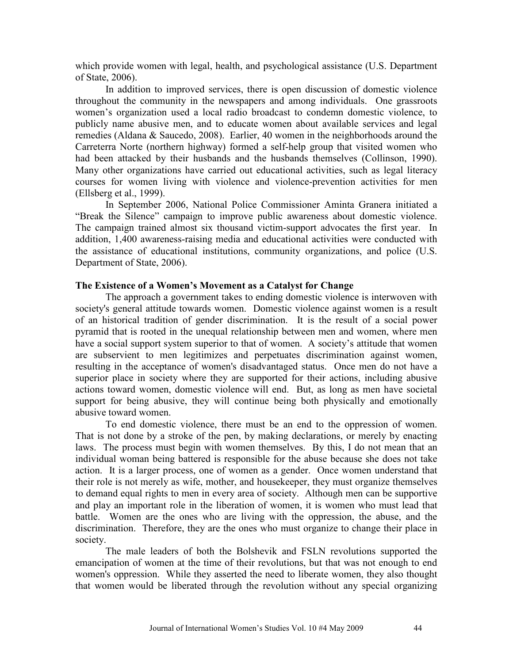which provide women with legal, health, and psychological assistance (U.S. Department of State, 2006).

In addition to improved services, there is open discussion of domestic violence throughout the community in the newspapers and among individuals. One grassroots women's organization used a local radio broadcast to condemn domestic violence, to publicly name abusive men, and to educate women about available services and legal remedies (Aldana & Saucedo, 2008). Earlier, 40 women in the neighborhoods around the Carreterra Norte (northern highway) formed a self-help group that visited women who had been attacked by their husbands and the husbands themselves (Collinson, 1990). Many other organizations have carried out educational activities, such as legal literacy courses for women living with violence and violence-prevention activities for men (Ellsberg et al., 1999).

In September 2006, National Police Commissioner Aminta Granera initiated a "Break the Silence" campaign to improve public awareness about domestic violence. The campaign trained almost six thousand victim-support advocates the first year. In addition, 1,400 awareness-raising media and educational activities were conducted with the assistance of educational institutions, community organizations, and police (U.S. Department of State, 2006).

## **The Existence of a Women's Movement as a Catalyst for Change**

The approach a government takes to ending domestic violence is interwoven with society's general attitude towards women. Domestic violence against women is a result of an historical tradition of gender discrimination. It is the result of a social power pyramid that is rooted in the unequal relationship between men and women, where men have a social support system superior to that of women. A society's attitude that women are subservient to men legitimizes and perpetuates discrimination against women, resulting in the acceptance of women's disadvantaged status. Once men do not have a superior place in society where they are supported for their actions, including abusive actions toward women, domestic violence will end. But, as long as men have societal support for being abusive, they will continue being both physically and emotionally abusive toward women.

To end domestic violence, there must be an end to the oppression of women. That is not done by a stroke of the pen, by making declarations, or merely by enacting laws. The process must begin with women themselves. By this, I do not mean that an individual woman being battered is responsible for the abuse because she does not take action. It is a larger process, one of women as a gender. Once women understand that their role is not merely as wife, mother, and housekeeper, they must organize themselves to demand equal rights to men in every area of society. Although men can be supportive and play an important role in the liberation of women, it is women who must lead that battle. Women are the ones who are living with the oppression, the abuse, and the discrimination. Therefore, they are the ones who must organize to change their place in society.

The male leaders of both the Bolshevik and FSLN revolutions supported the emancipation of women at the time of their revolutions, but that was not enough to end women's oppression. While they asserted the need to liberate women, they also thought that women would be liberated through the revolution without any special organizing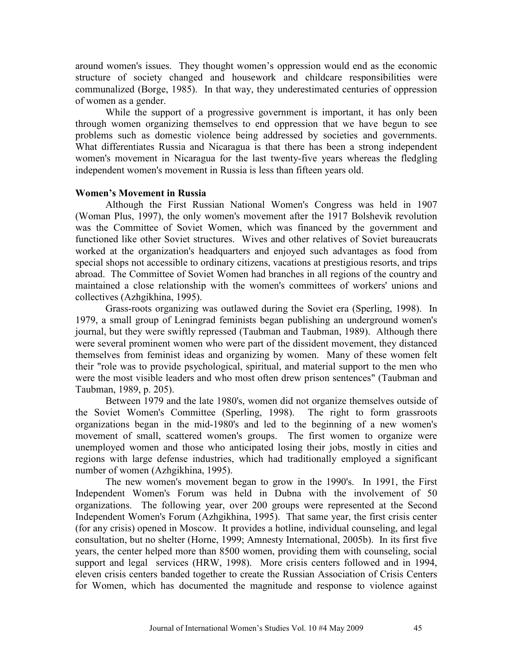around women's issues. They thought women's oppression would end as the economic structure of society changed and housework and childcare responsibilities were communalized (Borge, 1985). In that way, they underestimated centuries of oppression of women as a gender.

While the support of a progressive government is important, it has only been through women organizing themselves to end oppression that we have begun to see problems such as domestic violence being addressed by societies and governments. What differentiates Russia and Nicaragua is that there has been a strong independent women's movement in Nicaragua for the last twenty-five years whereas the fledgling independent women's movement in Russia is less than fifteen years old.

## **Women's Movement in Russia**

 Although the First Russian National Women's Congress was held in 1907 (Woman Plus, 1997), the only women's movement after the 1917 Bolshevik revolution was the Committee of Soviet Women, which was financed by the government and functioned like other Soviet structures. Wives and other relatives of Soviet bureaucrats worked at the organization's headquarters and enjoyed such advantages as food from special shops not accessible to ordinary citizens, vacations at prestigious resorts, and trips abroad. The Committee of Soviet Women had branches in all regions of the country and maintained a close relationship with the women's committees of workers' unions and collectives (Azhgikhina, 1995).

Grass-roots organizing was outlawed during the Soviet era (Sperling, 1998). In 1979, a small group of Leningrad feminists began publishing an underground women's journal, but they were swiftly repressed (Taubman and Taubman, 1989). Although there were several prominent women who were part of the dissident movement, they distanced themselves from feminist ideas and organizing by women. Many of these women felt their "role was to provide psychological, spiritual, and material support to the men who were the most visible leaders and who most often drew prison sentences" (Taubman and Taubman, 1989, p. 205).

Between 1979 and the late 1980's, women did not organize themselves outside of the Soviet Women's Committee (Sperling, 1998). The right to form grassroots organizations began in the mid-1980's and led to the beginning of a new women's movement of small, scattered women's groups. The first women to organize were unemployed women and those who anticipated losing their jobs, mostly in cities and regions with large defense industries, which had traditionally employed a significant number of women (Azhgikhina, 1995).

The new women's movement began to grow in the 1990's. In 1991, the First Independent Women's Forum was held in Dubna with the involvement of 50 organizations. The following year, over 200 groups were represented at the Second Independent Women's Forum (Azhgikhina, 1995). That same year, the first crisis center (for any crisis) opened in Moscow. It provides a hotline, individual counseling, and legal consultation, but no shelter (Horne, 1999; Amnesty International, 2005b). In its first five years, the center helped more than 8500 women, providing them with counseling, social support and legal services (HRW, 1998). More crisis centers followed and in 1994, eleven crisis centers banded together to create the Russian Association of Crisis Centers for Women, which has documented the magnitude and response to violence against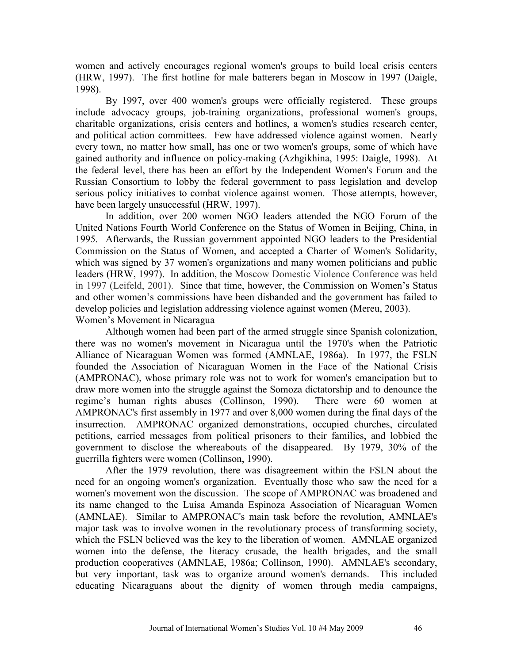women and actively encourages regional women's groups to build local crisis centers (HRW, 1997). The first hotline for male batterers began in Moscow in 1997 (Daigle, 1998).

By 1997, over 400 women's groups were officially registered. These groups include advocacy groups, job-training organizations, professional women's groups, charitable organizations, crisis centers and hotlines, a women's studies research center, and political action committees. Few have addressed violence against women. Nearly every town, no matter how small, has one or two women's groups, some of which have gained authority and influence on policy-making (Azhgikhina, 1995: Daigle, 1998). At the federal level, there has been an effort by the Independent Women's Forum and the Russian Consortium to lobby the federal government to pass legislation and develop serious policy initiatives to combat violence against women. Those attempts, however, have been largely unsuccessful (HRW, 1997).

In addition, over 200 women NGO leaders attended the NGO Forum of the United Nations Fourth World Conference on the Status of Women in Beijing, China, in 1995. Afterwards, the Russian government appointed NGO leaders to the Presidential Commission on the Status of Women, and accepted a Charter of Women's Solidarity, which was signed by 37 women's organizations and many women politicians and public leaders (HRW, 1997). In addition, the Moscow Domestic Violence Conference was held in 1997 (Leifeld, 2001). Since that time, however, the Commission on Women's Status and other women's commissions have been disbanded and the government has failed to develop policies and legislation addressing violence against women (Mereu, 2003). Women's Movement in Nicaragua

Although women had been part of the armed struggle since Spanish colonization, there was no women's movement in Nicaragua until the 1970's when the Patriotic Alliance of Nicaraguan Women was formed (AMNLAE, 1986a). In 1977, the FSLN founded the Association of Nicaraguan Women in the Face of the National Crisis (AMPRONAC), whose primary role was not to work for women's emancipation but to draw more women into the struggle against the Somoza dictatorship and to denounce the regime's human rights abuses (Collinson, 1990). There were 60 women at AMPRONAC's first assembly in 1977 and over 8,000 women during the final days of the insurrection. AMPRONAC organized demonstrations, occupied churches, circulated petitions, carried messages from political prisoners to their families, and lobbied the government to disclose the whereabouts of the disappeared. By 1979, 30% of the guerrilla fighters were women (Collinson, 1990).

 After the 1979 revolution, there was disagreement within the FSLN about the need for an ongoing women's organization. Eventually those who saw the need for a women's movement won the discussion. The scope of AMPRONAC was broadened and its name changed to the Luisa Amanda Espinoza Association of Nicaraguan Women (AMNLAE). Similar to AMPRONAC's main task before the revolution, AMNLAE's major task was to involve women in the revolutionary process of transforming society, which the FSLN believed was the key to the liberation of women. AMNLAE organized women into the defense, the literacy crusade, the health brigades, and the small production cooperatives (AMNLAE, 1986a; Collinson, 1990). AMNLAE's secondary, but very important, task was to organize around women's demands. This included educating Nicaraguans about the dignity of women through media campaigns,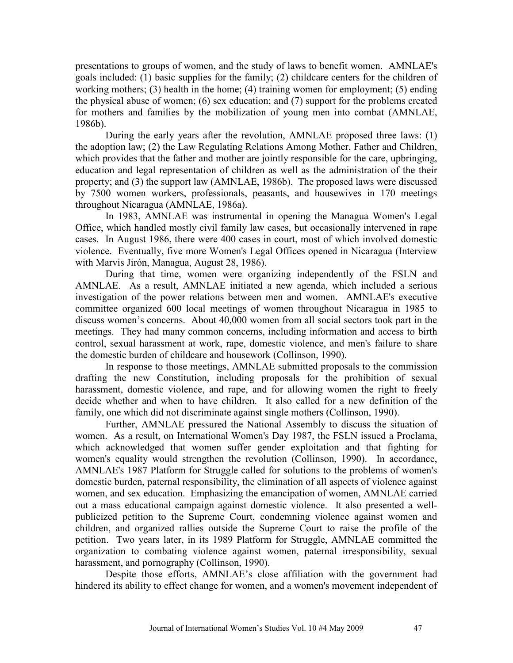presentations to groups of women, and the study of laws to benefit women. AMNLAE's goals included: (1) basic supplies for the family; (2) childcare centers for the children of working mothers; (3) health in the home; (4) training women for employment; (5) ending the physical abuse of women; (6) sex education; and (7) support for the problems created for mothers and families by the mobilization of young men into combat (AMNLAE, 1986b).

 During the early years after the revolution, AMNLAE proposed three laws: (1) the adoption law; (2) the Law Regulating Relations Among Mother, Father and Children, which provides that the father and mother are jointly responsible for the care, upbringing, education and legal representation of children as well as the administration of the their property; and (3) the support law (AMNLAE, 1986b). The proposed laws were discussed by 7500 women workers, professionals, peasants, and housewives in 170 meetings throughout Nicaragua (AMNLAE, 1986a).

In 1983, AMNLAE was instrumental in opening the Managua Women's Legal Office, which handled mostly civil family law cases, but occasionally intervened in rape cases. In August 1986, there were 400 cases in court, most of which involved domestic violence. Eventually, five more Women's Legal Offices opened in Nicaragua (Interview with Marvis Jirón, Managua, August 28, 1986).

During that time, women were organizing independently of the FSLN and AMNLAE. As a result, AMNLAE initiated a new agenda, which included a serious investigation of the power relations between men and women. AMNLAE's executive committee organized 600 local meetings of women throughout Nicaragua in 1985 to discuss women's concerns. About 40,000 women from all social sectors took part in the meetings. They had many common concerns, including information and access to birth control, sexual harassment at work, rape, domestic violence, and men's failure to share the domestic burden of childcare and housework (Collinson, 1990).

In response to those meetings, AMNLAE submitted proposals to the commission drafting the new Constitution, including proposals for the prohibition of sexual harassment, domestic violence, and rape, and for allowing women the right to freely decide whether and when to have children. It also called for a new definition of the family, one which did not discriminate against single mothers (Collinson, 1990).

 Further, AMNLAE pressured the National Assembly to discuss the situation of women. As a result, on International Women's Day 1987, the FSLN issued a Proclama, which acknowledged that women suffer gender exploitation and that fighting for women's equality would strengthen the revolution (Collinson, 1990). In accordance, AMNLAE's 1987 Platform for Struggle called for solutions to the problems of women's domestic burden, paternal responsibility, the elimination of all aspects of violence against women, and sex education. Emphasizing the emancipation of women, AMNLAE carried out a mass educational campaign against domestic violence. It also presented a wellpublicized petition to the Supreme Court, condemning violence against women and children, and organized rallies outside the Supreme Court to raise the profile of the petition. Two years later, in its 1989 Platform for Struggle, AMNLAE committed the organization to combating violence against women, paternal irresponsibility, sexual harassment, and pornography (Collinson, 1990).

Despite those efforts, AMNLAE's close affiliation with the government had hindered its ability to effect change for women, and a women's movement independent of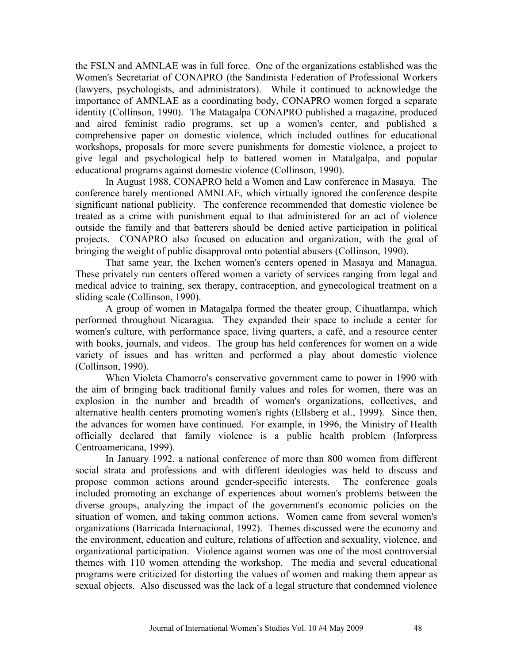the FSLN and AMNLAE was in full force. One of the organizations established was the Women's Secretariat of CONAPRO (the Sandinista Federation of Professional Workers (lawyers, psychologists, and administrators). While it continued to acknowledge the importance of AMNLAE as a coordinating body, CONAPRO women forged a separate identity (Collinson, 1990). The Matagalpa CONAPRO published a magazine, produced and aired feminist radio programs, set up a women's center, and published a comprehensive paper on domestic violence, which included outlines for educational workshops, proposals for more severe punishments for domestic violence, a project to give legal and psychological help to battered women in Matalgalpa, and popular educational programs against domestic violence (Collinson, 1990).

In August 1988, CONAPRO held a Women and Law conference in Masaya. The conference barely mentioned AMNLAE, which virtually ignored the conference despite significant national publicity. The conference recommended that domestic violence be treated as a crime with punishment equal to that administered for an act of violence outside the family and that batterers should be denied active participation in political projects. CONAPRO also focused on education and organization, with the goal of bringing the weight of public disapproval onto potential abusers (Collinson, 1990).

That same year, the Ixchen women's centers opened in Masaya and Managua. These privately run centers offered women a variety of services ranging from legal and medical advice to training, sex therapy, contraception, and gynecological treatment on a sliding scale (Collinson, 1990).

A group of women in Matagalpa formed the theater group, Cihuatlampa, which performed throughout Nicaragua. They expanded their space to include a center for women's culture, with performance space, living quarters, a café, and a resource center with books, journals, and videos. The group has held conferences for women on a wide variety of issues and has written and performed a play about domestic violence (Collinson, 1990).

When Violeta Chamorro's conservative government came to power in 1990 with the aim of bringing back traditional family values and roles for women, there was an explosion in the number and breadth of women's organizations, collectives, and alternative health centers promoting women's rights (Ellsberg et al., 1999). Since then, the advances for women have continued. For example, in 1996, the Ministry of Health officially declared that family violence is a public health problem (Inforpress Centroamericana, 1999).

 In January 1992, a national conference of more than 800 women from different social strata and professions and with different ideologies was held to discuss and propose common actions around gender-specific interests. The conference goals included promoting an exchange of experiences about women's problems between the diverse groups, analyzing the impact of the government's economic policies on the situation of women, and taking common actions. Women came from several women's organizations (Barricada Internacional, 1992). Themes discussed were the economy and the environment, education and culture, relations of affection and sexuality, violence, and organizational participation. Violence against women was one of the most controversial themes with 110 women attending the workshop. The media and several educational programs were criticized for distorting the values of women and making them appear as sexual objects. Also discussed was the lack of a legal structure that condemned violence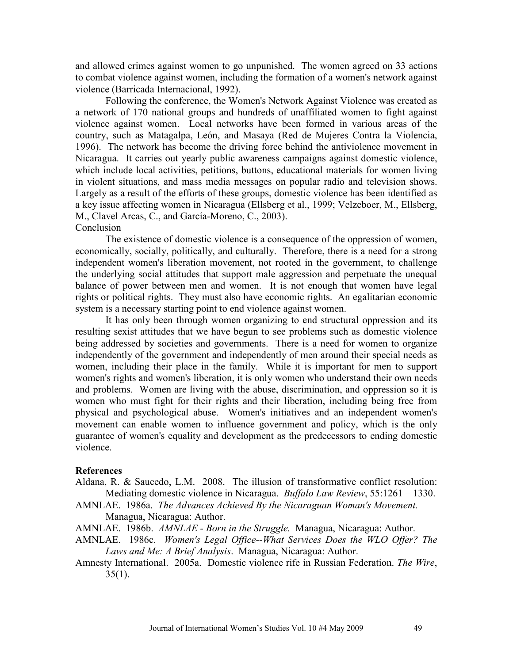and allowed crimes against women to go unpunished. The women agreed on 33 actions to combat violence against women, including the formation of a women's network against violence (Barricada Internacional, 1992).

Following the conference, the Women's Network Against Violence was created as a network of 170 national groups and hundreds of unaffiliated women to fight against violence against women. Local networks have been formed in various areas of the country, such as Matagalpa, León, and Masaya (Red de Mujeres Contra la Violencia, 1996). The network has become the driving force behind the antiviolence movement in Nicaragua. It carries out yearly public awareness campaigns against domestic violence, which include local activities, petitions, buttons, educational materials for women living in violent situations, and mass media messages on popular radio and television shows. Largely as a result of the efforts of these groups, domestic violence has been identified as a key issue affecting women in Nicaragua (Ellsberg et al., 1999; Velzeboer, M., Ellsberg, M., Clavel Arcas, C., and García-Moreno, C., 2003). **Conclusion** 

The existence of domestic violence is a consequence of the oppression of women, economically, socially, politically, and culturally. Therefore, there is a need for a strong independent women's liberation movement, not rooted in the government, to challenge the underlying social attitudes that support male aggression and perpetuate the unequal balance of power between men and women. It is not enough that women have legal rights or political rights. They must also have economic rights. An egalitarian economic system is a necessary starting point to end violence against women.

It has only been through women organizing to end structural oppression and its resulting sexist attitudes that we have begun to see problems such as domestic violence being addressed by societies and governments. There is a need for women to organize independently of the government and independently of men around their special needs as women, including their place in the family. While it is important for men to support women's rights and women's liberation, it is only women who understand their own needs and problems. Women are living with the abuse, discrimination, and oppression so it is women who must fight for their rights and their liberation, including being free from physical and psychological abuse. Women's initiatives and an independent women's movement can enable women to influence government and policy, which is the only guarantee of women's equality and development as the predecessors to ending domestic violence.

#### **References**

- Aldana, R. & Saucedo, L.M. 2008. The illusion of transformative conflict resolution: Mediating domestic violence in Nicaragua. *Buffalo Law Review*, 55:1261 – 1330.
- AMNLAE. 1986a. *The Advances Achieved By the Nicaraguan Woman's Movement.* Managua, Nicaragua: Author.
- AMNLAE. 1986b. *AMNLAE Born in the Struggle.* Managua, Nicaragua: Author.
- AMNLAE. 1986c. *Women's Legal Office--What Services Does the WLO Offer? The Laws and Me: A Brief Analysis*. Managua, Nicaragua: Author.
- Amnesty International. 2005a. Domestic violence rife in Russian Federation. *The Wire*,  $35(1)$ .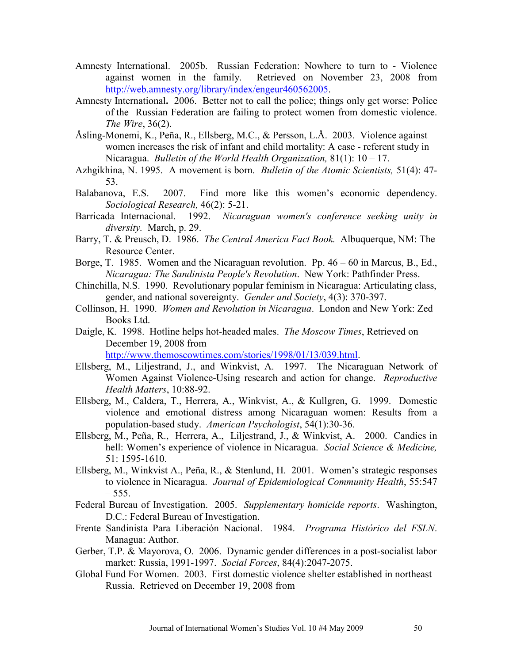- Amnesty International. 2005b. Russian Federation: Nowhere to turn to Violence against women in the family. Retrieved on November 23, 2008 from http://web.amnesty.org/library/index/engeur460562005.
- Amnesty International**.** 2006. Better not to call the police; things only get worse: Police of the Russian Federation are failing to protect women from domestic violence. *The Wire*, 36(2).
- Åsling-Monemi, K., Peña, R., Ellsberg, M.C., & Persson, L.Å. 2003. Violence against women increases the risk of infant and child mortality: A case - referent study in Nicaragua. *Bulletin of the World Health Organization,* 81(1): 10 – 17.
- Azhgikhina, N. 1995. A movement is born. *Bulletin of the Atomic Scientists,* 51(4): 47- 53.
- Balabanova, E.S. 2007. Find more like this women's economic dependency. *Sociological Research,* 46(2): 5-21.
- Barricada Internacional. 1992. *Nicaraguan women's conference seeking unity in diversity.* March, p. 29.
- Barry, T. & Preusch, D. 1986. *The Central America Fact Book.* Albuquerque, NM: The Resource Center.
- Borge, T. 1985. Women and the Nicaraguan revolution. Pp. 46 60 in Marcus, B., Ed., *Nicaragua: The Sandinista People's Revolution*. New York: Pathfinder Press.
- Chinchilla, N.S. 1990. Revolutionary popular feminism in Nicaragua: Articulating class, gender, and national sovereignty.*Gender and Society*, 4(3): 370-397.
- Collinson, H. 1990. *Women and Revolution in Nicaragua*. London and New York: Zed Books Ltd.
- Daigle, K. 1998. Hotline helps hot-headed males. *The Moscow Times*, Retrieved on December 19, 2008 from

http://www.themoscowtimes.com/stories/1998/01/13/039.html.

- Ellsberg, M., Liljestrand, J., and Winkvist, A. 1997. The Nicaraguan Network of Women Against Violence-Using research and action for change. *Reproductive Health Matters*, 10:88-92.
- Ellsberg, M., Caldera, T., Herrera, A., Winkvist, A., & Kullgren, G. 1999. Domestic violence and emotional distress among Nicaraguan women: Results from a population-based study. *American Psychologist*, 54(1):30-36.
- Ellsberg, M., Peña, R., Herrera, A., Liljestrand, J., & Winkvist, A. 2000. Candies in hell: Women's experience of violence in Nicaragua. *Social Science & Medicine,* 51: 1595-1610.
- Ellsberg, M., Winkvist A., Peña, R., & Stenlund, H. 2001. Women's strategic responses to violence in Nicaragua. *Journal of Epidemiological Community Health*, 55:547  $-555.$
- Federal Bureau of Investigation. 2005. *Supplementary homicide reports*. Washington, D.C.: Federal Bureau of Investigation.
- Frente Sandinista Para Liberación Nacional. 1984. *Programa Histórico del FSLN*. Managua: Author.
- Gerber, T.P. & Mayorova, O. 2006. Dynamic gender differences in a post-socialist labor market: Russia, 1991-1997. *Social Forces*, 84(4):2047-2075.
- Global Fund For Women. 2003. First domestic violence shelter established in northeast Russia. Retrieved on December 19, 2008 from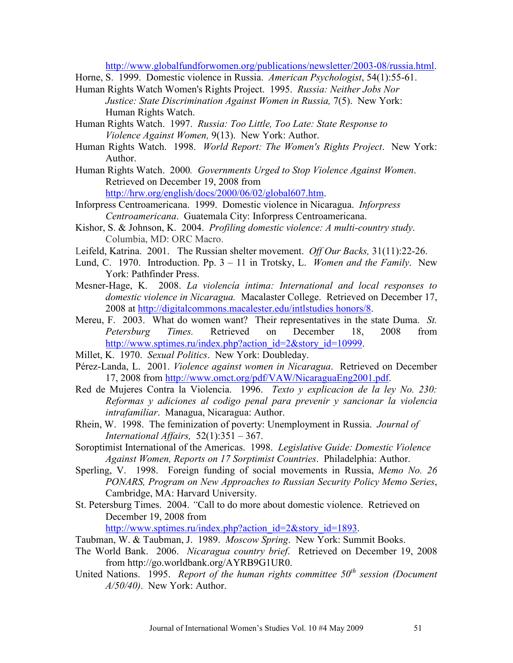http://www.globalfundforwomen.org/publications/newsletter/2003-08/russia.html.

- Horne, S. 1999. Domestic violence in Russia. *American Psychologist*, 54(1):55-61.
- Human Rights Watch Women's Rights Project. 1995. *Russia: Neither Jobs Nor Justice: State Discrimination Against Women in Russia,* 7(5). New York: Human Rights Watch.
- Human Rights Watch. 1997. *Russia: Too Little, Too Late: State Response to Violence Against Women,* 9(13). New York: Author.
- Human Rights Watch. 1998. *World Report: The Women's Rights Project*. New York: Author.
- Human Rights Watch. 2000*. Governments Urged to Stop Violence Against Women*. Retrieved on December 19, 2008 from

http://hrw.org/english/docs/2000/06/02/global607.htm.

- Inforpress Centroamericana. 1999. Domestic violence in Nicaragua. *Inforpress Centroamericana*. Guatemala City: Inforpress Centroamericana.
- Kishor, S. & Johnson, K. 2004. *Profiling domestic violence: A multi-country study*. Columbia, MD: ORC Macro.
- Leifeld, Katrina. 2001. The Russian shelter movement. *Off Our Backs,* 31(11):22-26.
- Lund, C. 1970. Introduction. Pp. 3 11 in Trotsky, L. *Women and the Family*. New York: Pathfinder Press.
- Mesner-Hage, K. 2008. *La violencía intima: International and local responses to domestic violence in Nicaragua.* Macalaster College. Retrieved on December 17, 2008 at http://digitalcommons.macalester.edu/intlstudies honors/8.
- Mereu, F. 2003. What do women want? Their representatives in the state Duma. *St. Petersburg Times.* Retrieved on December 18, 2008 from http://www.sptimes.ru/index.php?action\_id=2&story\_id=10999.
- Millet, K. 1970. *Sexual Politics*. New York: Doubleday.
- Pérez-Landa, L. 2001. *Violence against women in Nicaragua*. Retrieved on December 17, 2008 from http://www.omct.org/pdf/VAW/NicaraguaEng2001.pdf.
- Red de Mujeres Contra la Violencia. 1996. *Texto y explicacion de la ley No. 230: Reformas y adiciones al codigo penal para prevenir y sancionar la violencia intrafamiliar*. Managua, Nicaragua: Author.
- Rhein, W. 1998. The feminization of poverty: Unemployment in Russia. *Journal of International Affairs,* 52(1):351 – 367.
- Soroptimist International of the Americas. 1998. *Legislative Guide: Domestic Violence Against Women, Reports on 17 Sorptimist Countries*. Philadelphia: Author.
- Sperling, V. 1998. Foreign funding of social movements in Russia, *Memo No. 26 PONARS, Program on New Approaches to Russian Security Policy Memo Series*, Cambridge, MA: Harvard University.
- St. Petersburg Times. 2004. *"*Call to do more about domestic violence. Retrieved on December 19, 2008 from

http://www.sptimes.ru/index.php?action\_id=2&story\_id=1893.

Taubman, W. & Taubman, J. 1989. *Moscow Spring*. New York: Summit Books.

- The World Bank. 2006. *Nicaragua country brief*. Retrieved on December 19, 2008 from http://go.worldbank.org/AYRB9G1UR0.
- United Nations. 1995. *Report of the human rights committee 50th session (Document A/50/40)*. New York: Author.